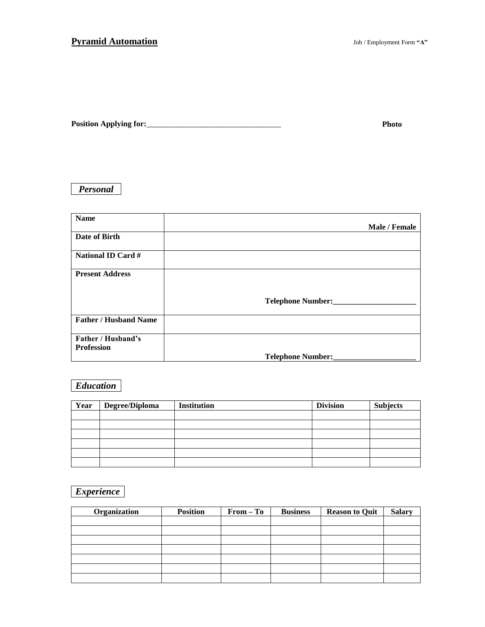| <b>Position Applying for:</b> |  |
|-------------------------------|--|
|                               |  |

## *Personal*

| <b>Name</b>                  |                          |
|------------------------------|--------------------------|
|                              | Male / Female            |
| Date of Birth                |                          |
| <b>National ID Card #</b>    |                          |
| <b>Present Address</b>       |                          |
|                              |                          |
|                              | Telephone Number:        |
| <b>Father / Husband Name</b> |                          |
| Father / Husband's           |                          |
| <b>Profession</b>            |                          |
|                              | <b>Telephone Number:</b> |

## *Education*

| Year | Degree/Diploma | <b>Institution</b> | <b>Division</b> | <b>Subjects</b> |
|------|----------------|--------------------|-----------------|-----------------|
|      |                |                    |                 |                 |
|      |                |                    |                 |                 |
|      |                |                    |                 |                 |
|      |                |                    |                 |                 |
|      |                |                    |                 |                 |
|      |                |                    |                 |                 |

## *Experience*

| Organization | <b>Position</b> | $From - To$ | <b>Business</b> | <b>Reason to Quit</b> | <b>Salary</b> |
|--------------|-----------------|-------------|-----------------|-----------------------|---------------|
|              |                 |             |                 |                       |               |
|              |                 |             |                 |                       |               |
|              |                 |             |                 |                       |               |
|              |                 |             |                 |                       |               |
|              |                 |             |                 |                       |               |
|              |                 |             |                 |                       |               |
|              |                 |             |                 |                       |               |